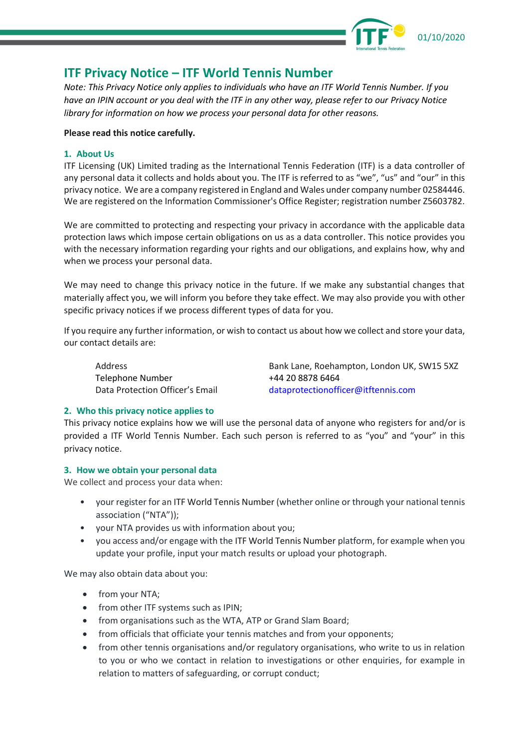

# **ITF Privacy Notice – ITF World Tennis Number**

*Note: This Privacy Notice only applies to individuals who have an ITF World Tennis Number. If you have an IPIN account or you deal with the ITF in any other way, please refer to our Privacy Notice library for information on how we process your personal data for other reasons.*

## **Please read this notice carefully.**

## **1. About Us**

ITF Licensing (UK) Limited trading as the International Tennis Federation (ITF) is a data controller of any personal data it collects and holds about you. The ITF is referred to as "we", "us" and "our" in this privacy notice. We are a company registered in England and Wales under company number 02584446. We are registered on the Information Commissioner's Office Register; registration number Z5603782.

We are committed to protecting and respecting your privacy in accordance with the applicable data protection laws which impose certain obligations on us as a data controller. This notice provides you with the necessary information regarding your rights and our obligations, and explains how, why and when we process your personal data.

We may need to change this privacy notice in the future. If we make any substantial changes that materially affect you, we will inform you before they take effect. We may also provide you with other specific privacy notices if we process different types of data for you.

If you require any further information, or wish to contact us about how we collect and store your data, our contact details are:

Telephone Number +44 20 8878 6464

Address Bank Lane, Roehampton, London UK, SW15 5XZ Data Protection Officer's Email [dataprotectionofficer@itftennis.com](mailto:dataprotectionofficer@itftennis.com)

# **2. Who this privacy notice applies to**

This privacy notice explains how we will use the personal data of anyone who registers for and/or is provided a ITF World Tennis Number. Each such person is referred to as "you" and "your" in this privacy notice.

# **3. How we obtain your personal data**

We collect and process your data when:

- your register for an ITF World Tennis Number (whether online or through your national tennis association ("NTA"));
- your NTA provides us with information about you;
- you access and/or engage with the ITF World Tennis Number platform, for example when you update your profile, input your match results or upload your photograph.

We may also obtain data about you:

- from your NTA;
- from other ITF systems such as IPIN;
- from organisations such as the WTA, ATP or Grand Slam Board;
- from officials that officiate your tennis matches and from your opponents;
- from other tennis organisations and/or regulatory organisations, who write to us in relation to you or who we contact in relation to investigations or other enquiries, for example in relation to matters of safeguarding, or corrupt conduct;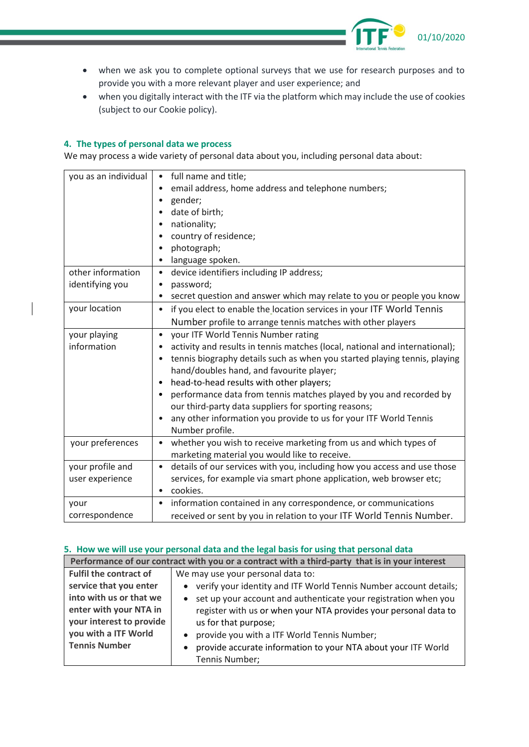

- when we ask you to complete optional surveys that we use for research purposes and to provide you with a more relevant player and user experience; and
- when you digitally interact with the ITF via the platform which may include the use of cookies (subject to our Cookie policy).

## **4. The types of personal data we process**

We may process a wide variety of personal data about you, including personal data about:

| you as an individual | • full name and title;                                                      |
|----------------------|-----------------------------------------------------------------------------|
|                      | email address, home address and telephone numbers;                          |
|                      | gender;                                                                     |
|                      | date of birth;                                                              |
|                      | nationality;                                                                |
|                      | country of residence;                                                       |
|                      | photograph;                                                                 |
|                      | language spoken.<br>٠                                                       |
| other information    | device identifiers including IP address;<br>$\bullet$                       |
| identifying you      | password;<br>٠                                                              |
|                      | secret question and answer which may relate to you or people you know       |
| your location        | if you elect to enable the location services in your ITF World Tennis       |
|                      | Number profile to arrange tennis matches with other players                 |
| your playing         | your ITF World Tennis Number rating<br>$\bullet$                            |
| information          | activity and results in tennis matches (local, national and international); |
|                      | tennis biography details such as when you started playing tennis, playing   |
|                      | hand/doubles hand, and favourite player;                                    |
|                      | head-to-head results with other players;<br>$\bullet$                       |
|                      | performance data from tennis matches played by you and recorded by          |
|                      | our third-party data suppliers for sporting reasons;                        |
|                      | any other information you provide to us for your ITF World Tennis           |
|                      | Number profile.                                                             |
| your preferences     | whether you wish to receive marketing from us and which types of            |
|                      | marketing material you would like to receive.                               |
| your profile and     | details of our services with you, including how you access and use those    |
| user experience      | services, for example via smart phone application, web browser etc;         |
|                      | cookies.<br>$\bullet$                                                       |
| your                 | information contained in any correspondence, or communications<br>$\bullet$ |
| correspondence       | received or sent by you in relation to your ITF World Tennis Number.        |

## **5. How we will use your personal data and the legal basis for using that personal data**

| Performance of our contract with you or a contract with a third-party that is in your interest |                                                                              |  |  |
|------------------------------------------------------------------------------------------------|------------------------------------------------------------------------------|--|--|
| <b>Fulfil the contract of</b>                                                                  | We may use your personal data to:                                            |  |  |
| service that you enter                                                                         | • verify your identity and ITF World Tennis Number account details;          |  |  |
| into with us or that we                                                                        | set up your account and authenticate your registration when you<br>$\bullet$ |  |  |
| enter with your NTA in                                                                         | register with us or when your NTA provides your personal data to             |  |  |
| your interest to provide                                                                       | us for that purpose;                                                         |  |  |
| you with a ITF World                                                                           | provide you with a ITF World Tennis Number;<br>$\bullet$                     |  |  |
| <b>Tennis Number</b>                                                                           | provide accurate information to your NTA about your ITF World<br>$\bullet$   |  |  |
|                                                                                                | Tennis Number;                                                               |  |  |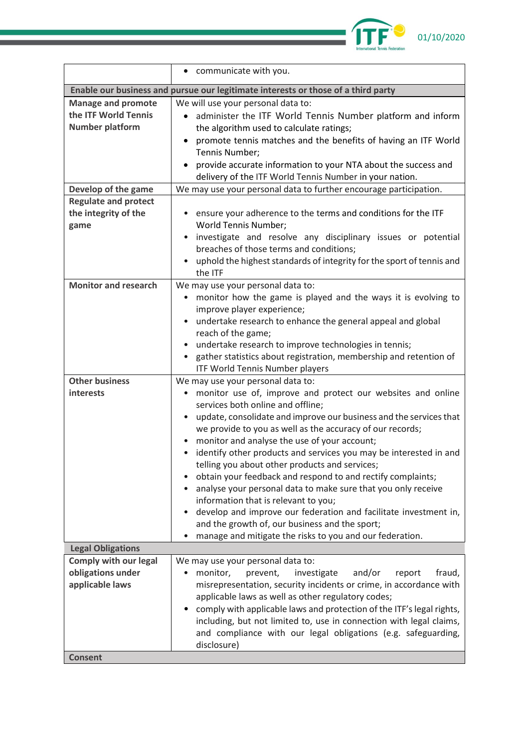

|                                                                                                    | communicate with you.                                                                                                                                                                                                                                                                                                                                                                                                                                                                                                                                                                                                                                                                                                                                                                                                                    |  |
|----------------------------------------------------------------------------------------------------|------------------------------------------------------------------------------------------------------------------------------------------------------------------------------------------------------------------------------------------------------------------------------------------------------------------------------------------------------------------------------------------------------------------------------------------------------------------------------------------------------------------------------------------------------------------------------------------------------------------------------------------------------------------------------------------------------------------------------------------------------------------------------------------------------------------------------------------|--|
|                                                                                                    | Enable our business and pursue our legitimate interests or those of a third party                                                                                                                                                                                                                                                                                                                                                                                                                                                                                                                                                                                                                                                                                                                                                        |  |
| <b>Manage and promote</b><br>the ITF World Tennis<br><b>Number platform</b><br>Develop of the game | We will use your personal data to:<br>administer the ITF World Tennis Number platform and inform<br>$\bullet$<br>the algorithm used to calculate ratings;<br>promote tennis matches and the benefits of having an ITF World<br>$\bullet$<br>Tennis Number;<br>provide accurate information to your NTA about the success and<br>delivery of the ITF World Tennis Number in your nation.<br>We may use your personal data to further encourage participation.                                                                                                                                                                                                                                                                                                                                                                             |  |
| <b>Regulate and protect</b><br>the integrity of the<br>game                                        | ensure your adherence to the terms and conditions for the ITF<br>World Tennis Number;<br>investigate and resolve any disciplinary issues or potential<br>$\bullet$<br>breaches of those terms and conditions;<br>uphold the highest standards of integrity for the sport of tennis and                                                                                                                                                                                                                                                                                                                                                                                                                                                                                                                                                   |  |
|                                                                                                    | the ITF                                                                                                                                                                                                                                                                                                                                                                                                                                                                                                                                                                                                                                                                                                                                                                                                                                  |  |
| <b>Monitor and research</b>                                                                        | We may use your personal data to:<br>monitor how the game is played and the ways it is evolving to<br>٠<br>improve player experience;<br>undertake research to enhance the general appeal and global<br>٠<br>reach of the game;<br>undertake research to improve technologies in tennis;<br>gather statistics about registration, membership and retention of<br><b>ITF World Tennis Number players</b>                                                                                                                                                                                                                                                                                                                                                                                                                                  |  |
| <b>Other business</b><br>interests                                                                 | We may use your personal data to:<br>monitor use of, improve and protect our websites and online<br>$\bullet$<br>services both online and offline;<br>update, consolidate and improve our business and the services that<br>٠<br>we provide to you as well as the accuracy of our records;<br>monitor and analyse the use of your account;<br>identify other products and services you may be interested in and<br>telling you about other products and services;<br>obtain your feedback and respond to and rectify complaints;<br>analyse your personal data to make sure that you only receive<br>information that is relevant to you;<br>develop and improve our federation and facilitate investment in,<br>$\bullet$<br>and the growth of, our business and the sport;<br>manage and mitigate the risks to you and our federation. |  |
| <b>Legal Obligations</b>                                                                           |                                                                                                                                                                                                                                                                                                                                                                                                                                                                                                                                                                                                                                                                                                                                                                                                                                          |  |
| <b>Comply with our legal</b><br>obligations under<br>applicable laws                               | We may use your personal data to:<br>monitor,<br>investigate<br>and/or<br>fraud,<br>prevent,<br>report<br>٠<br>misrepresentation, security incidents or crime, in accordance with<br>applicable laws as well as other regulatory codes;<br>comply with applicable laws and protection of the ITF's legal rights,<br>٠<br>including, but not limited to, use in connection with legal claims,<br>and compliance with our legal obligations (e.g. safeguarding,<br>disclosure)                                                                                                                                                                                                                                                                                                                                                             |  |
| <b>Consent</b>                                                                                     |                                                                                                                                                                                                                                                                                                                                                                                                                                                                                                                                                                                                                                                                                                                                                                                                                                          |  |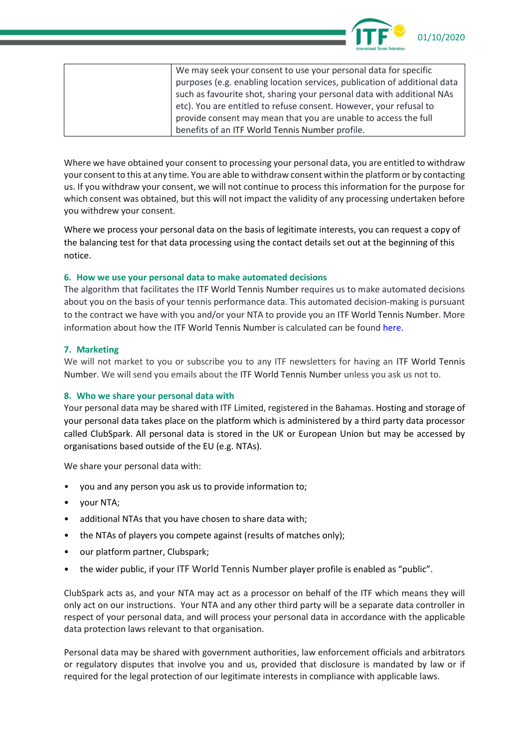

| We may seek your consent to use your personal data for specific           |
|---------------------------------------------------------------------------|
| purposes (e.g. enabling location services, publication of additional data |
| such as favourite shot, sharing your personal data with additional NAs    |
| etc). You are entitled to refuse consent. However, your refusal to        |
| provide consent may mean that you are unable to access the full           |
| benefits of an ITF World Tennis Number profile.                           |

Where we have obtained your consent to processing your personal data, you are entitled to withdraw your consent to this at any time. You are able to withdraw consent within the platform or by contacting us. If you withdraw your consent, we will not continue to process this information for the purpose for which consent was obtained, but this will not impact the validity of any processing undertaken before you withdrew your consent.

Where we process your personal data on the basis of legitimate interests, you can request a copy of the balancing test for that data processing using the contact details set out at the beginning of this notice.

#### **6. How we use your personal data to make automated decisions**

The algorithm that facilitates the ITF World Tennis Number requires us to make automated decisions about you on the basis of your tennis performance data. This automated decision-making is pursuant to the contract we have with you and/or your NTA to provide you an ITF World Tennis Number. More information about how the ITF World Tennis Number is calculated can be found [here.](https://worldtennisnumber.com/en/faq)

## **7. Marketing**

We will not market to you or subscribe you to any ITF newsletters for having an ITF World Tennis Number. We will send you emails about the ITF World Tennis Number unless you ask us not to.

#### **8. Who we share your personal data with**

Your personal data may be shared with ITF Limited, registered in the Bahamas. Hosting and storage of your personal data takes place on the platform which is administered by a third party data processor called ClubSpark. All personal data is stored in the UK or European Union but may be accessed by organisations based outside of the EU (e.g. NTAs).

We share your personal data with:

- you and any person you ask us to provide information to;
- your NTA;
- additional NTAs that you have chosen to share data with;
- the NTAs of players you compete against (results of matches only);
- our platform partner, Clubspark;
- the wider public, if your ITF World Tennis Number player profile is enabled as "public".

ClubSpark acts as, and your NTA may act as a processor on behalf of the ITF which means they will only act on our instructions. Your NTA and any other third party will be a separate data controller in respect of your personal data, and will process your personal data in accordance with the applicable data protection laws relevant to that organisation.

Personal data may be shared with government authorities, law enforcement officials and arbitrators or regulatory disputes that involve you and us, provided that disclosure is mandated by law or if required for the legal protection of our legitimate interests in compliance with applicable laws.